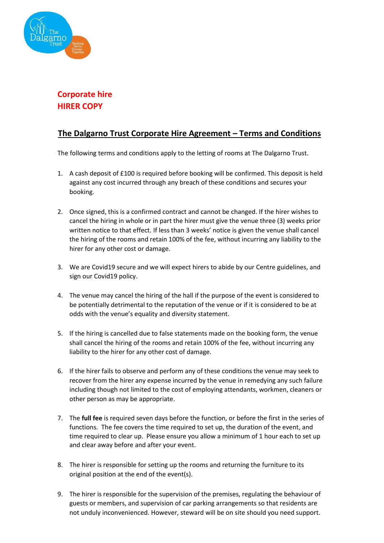

# **Corporate hire HIRER COPY**

### **The Dalgarno Trust Corporate Hire Agreement – Terms and Conditions**

The following terms and conditions apply to the letting of rooms at The Dalgarno Trust.

- 1. A cash deposit of £100 is required before booking will be confirmed. This deposit is held against any cost incurred through any breach of these conditions and secures your booking.
- 2. Once signed, this is a confirmed contract and cannot be changed. If the hirer wishes to cancel the hiring in whole or in part the hirer must give the venue three (3) weeks prior written notice to that effect. If less than 3 weeks' notice is given the venue shall cancel the hiring of the rooms and retain 100% of the fee, without incurring any liability to the hirer for any other cost or damage.
- 3. We are Covid19 secure and we will expect hirers to abide by our Centre guidelines, and sign our Covid19 policy.
- 4. The venue may cancel the hiring of the hall if the purpose of the event is considered to be potentially detrimental to the reputation of the venue or if it is considered to be at odds with the venue's equality and diversity statement.
- 5. If the hiring is cancelled due to false statements made on the booking form, the venue shall cancel the hiring of the rooms and retain 100% of the fee, without incurring any liability to the hirer for any other cost of damage.
- 6. If the hirer fails to observe and perform any of these conditions the venue may seek to recover from the hirer any expense incurred by the venue in remedying any such failure including though not limited to the cost of employing attendants, workmen, cleaners or other person as may be appropriate.
- 7. The **full fee** is required seven days before the function, or before the first in the series of functions. The fee covers the time required to set up, the duration of the event, and time required to clear up. Please ensure you allow a minimum of 1 hour each to set up and clear away before and after your event.
- 8. The hirer is responsible for setting up the rooms and returning the furniture to its original position at the end of the event(s).
- 9. The hirer is responsible for the supervision of the premises, regulating the behaviour of guests or members, and supervision of car parking arrangements so that residents are not unduly inconvenienced. However, steward will be on site should you need support.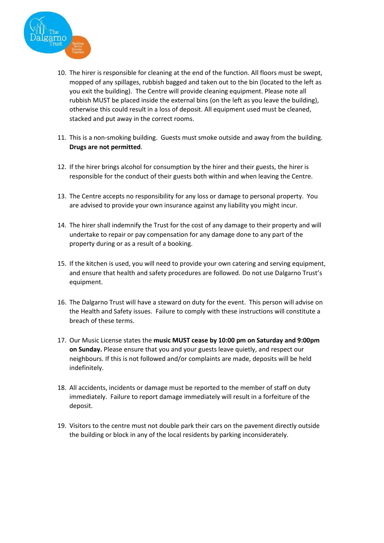

- 10. The hirer is responsible for cleaning at the end of the function. All floors must be swept, mopped of any spillages, rubbish bagged and taken out to the bin (located to the left as you exit the building). The Centre will provide cleaning equipment. Please note all rubbish MUST be placed inside the external bins (on the left as you leave the building), otherwise this could result in a loss of deposit. All equipment used must be cleaned, stacked and put away in the correct rooms.
- 11. This is a non-smoking building. Guests must smoke outside and away from the building. **Drugs are not permitted**.
- 12. If the hirer brings alcohol for consumption by the hirer and their guests, the hirer is responsible for the conduct of their guests both within and when leaving the Centre.
- 13. The Centre accepts no responsibility for any loss or damage to personal property. You are advised to provide your own insurance against any liability you might incur.
- 14. The hirer shall indemnify the Trust for the cost of any damage to their property and will undertake to repair or pay compensation for any damage done to any part of the property during or as a result of a booking.
- 15. If the kitchen is used, you will need to provide your own catering and serving equipment, and ensure that health and safety procedures are followed. Do not use Dalgarno Trust's equipment.
- 16. The Dalgarno Trust will have a steward on duty for the event. This person will advise on the Health and Safety issues. Failure to comply with these instructions will constitute a breach of these terms.
- 17. Our Music License states the **music MUST cease by 10:00 pm on Saturday and 9:00pm on Sunday.** Please ensure that you and your guests leave quietly, and respect our neighbours. If this is not followed and/or complaints are made, deposits will be held indefinitely.
- 18. All accidents, incidents or damage must be reported to the member of staff on duty immediately. Failure to report damage immediately will result in a forfeiture of the deposit.
- 19. Visitors to the centre must not double park their cars on the pavement directly outside the building or block in any of the local residents by parking inconsiderately.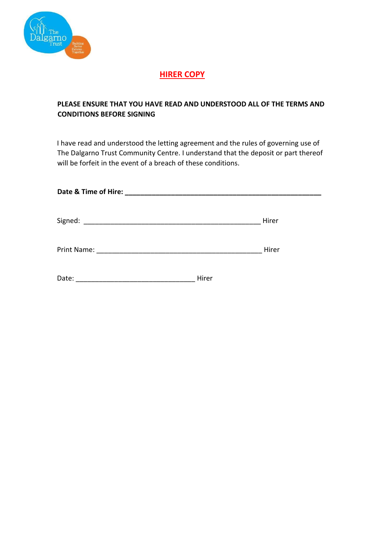

# **HIRER COPY**

#### **PLEASE ENSURE THAT YOU HAVE READ AND UNDERSTOOD ALL OF THE TERMS AND CONDITIONS BEFORE SIGNING**

I have read and understood the letting agreement and the rules of governing use of The Dalgarno Trust Community Centre. I understand that the deposit or part thereof will be forfeit in the event of a breach of these conditions.

| Date & Time of Hire: |       |       |
|----------------------|-------|-------|
| Signed:              |       | Hirer |
| Print Name:          |       | Hirer |
| Date:                | Hirer |       |